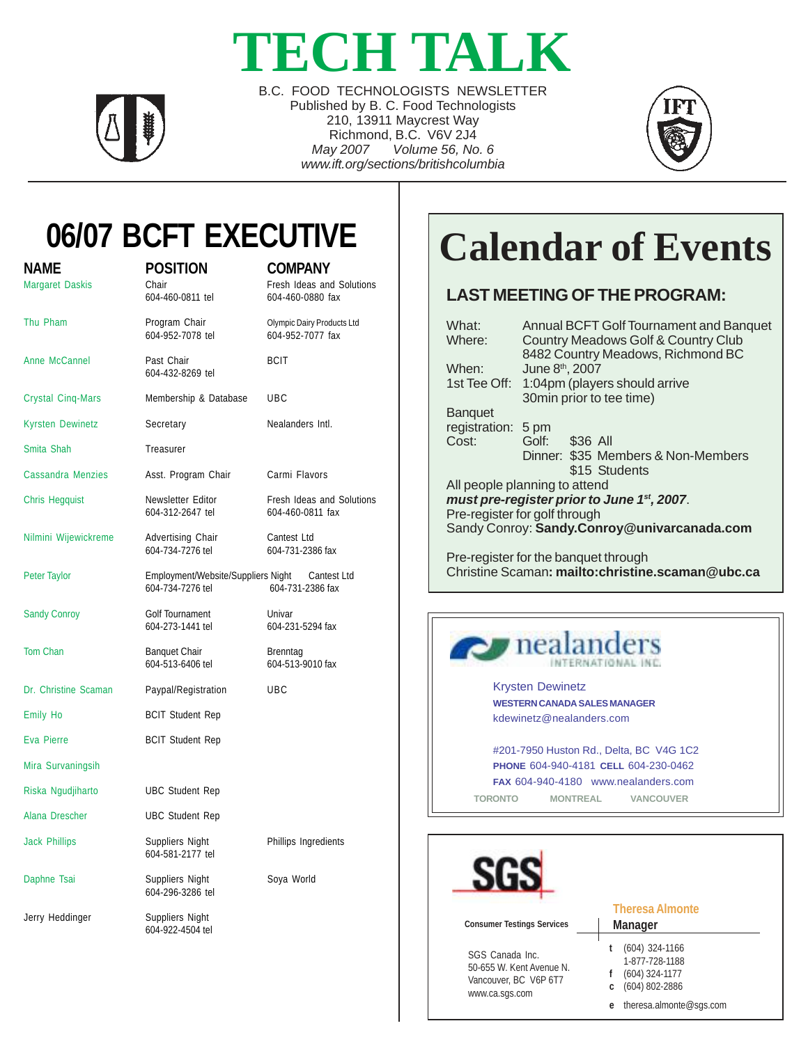# **TECH TALK**



B.C. FOOD TECHNOLOGISTS NEWSLETTER Published by B. C. Food Technologists 210, 13911 Maycrest Way Richmond, B.C. V6V 2J4 *May 2007 Volume 56, No. 6 www.ift.org/sections/britishcolumbia*



## **06/07 BCFT EXECUTIVE**

| Name<br><b>Margaret Daskis</b> | <b>POSITION</b><br>Chair<br>604-460-0811 tel           | <b>COMPANY</b><br>Fresh Ideas and Solutions<br>604-460-0880 fax |
|--------------------------------|--------------------------------------------------------|-----------------------------------------------------------------|
| Thu Pham                       | Program Chair<br>604-952-7078 tel                      | Olympic Dairy Products Ltd<br>604-952-7077 fax                  |
| Anne McCannel                  | Past Chair<br>604-432-8269 tel                         | <b>BCIT</b>                                                     |
| <b>Crystal Cinq-Mars</b>       | Membership & Database<br>UBC                           |                                                                 |
| <b>Kyrsten Dewinetz</b>        | Secretary                                              | Nealanders Intl.                                                |
| Smita Shah                     | Treasurer                                              |                                                                 |
| <b>Cassandra Menzies</b>       | Asst. Program Chair                                    | Carmi Flavors                                                   |
| <b>Chris Hegquist</b>          | Newsletter Editor<br>604-312-2647 tel                  | Fresh Ideas and Solutions<br>604-460-0811 fax                   |
| Nilmini Wijewickreme           | Advertising Chair<br>604-734-7276 tel                  | Cantest Ltd<br>604-731-2386 fax                                 |
| Peter Taylor                   | Employment/Website/Suppliers Night<br>604-734-7276 tel | Cantest Ltd<br>604-731-2386 fax                                 |
| <b>Sandy Conroy</b>            | Golf Tournament<br>604-273-1441 tel                    | Univar<br>604-231-5294 fax                                      |
| <b>Tom Chan</b>                | <b>Banquet Chair</b><br>604-513-6406 tel               | Brenntag<br>604-513-9010 fax                                    |
| Dr. Christine Scaman           | Paypal/Registration                                    | <b>UBC</b>                                                      |
| <b>Emily Ho</b>                | <b>BCIT Student Rep</b>                                |                                                                 |
| Eva Pierre                     | <b>BCIT Student Rep</b>                                |                                                                 |
| Mira Survaningsih              |                                                        |                                                                 |
| Riska Ngudjiharto              | <b>UBC Student Rep</b>                                 |                                                                 |
| Alana Drescher                 | <b>UBC Student Rep</b>                                 |                                                                 |
| <b>Jack Phillips</b>           | Suppliers Night<br>604-581-2177 tel                    | Phillips Ingredients                                            |
| Daphne Tsai                    | Suppliers Night<br>604-296-3286 tel                    | Soya World                                                      |
| Jerry Heddinger                | Suppliers Night<br>604-922-4504 tel                    |                                                                 |
|                                |                                                        |                                                                 |

# **Calendar of Events**

#### **LAST MEETING OF THE PROGRAM:**

| What:<br>Where:    | Annual BCFT Golf Tournament and Banquet<br>Country Meadows Golf & Country Club<br>8482 Country Meadows, Richmond BC |
|--------------------|---------------------------------------------------------------------------------------------------------------------|
| When:              | June 8 <sup>th</sup> , 2007                                                                                         |
| 1st Tee Off:       | 1:04pm (players should arrive                                                                                       |
|                    | 30min prior to tee time)                                                                                            |
| <b>Banquet</b>     |                                                                                                                     |
| registration: 5 pm |                                                                                                                     |
| Cost:              | Golf: \$36 All                                                                                                      |
|                    | Dinner: \$35 Members & Non-Members<br>\$15 Students                                                                 |
|                    | All people planning to attend                                                                                       |
|                    | must pre-register prior to June 1 <sup>st</sup> , 2007.                                                             |
|                    | Pre-register for golf through                                                                                       |
|                    | Sandy Conroy: Sandy.Conroy@univarcanada.com                                                                         |
|                    | Pre-register for the banquet through<br>Christine Scaman: mailto:christine.scaman@ubc.ca                            |



| <b>Consumer Testings Services</b>                                                      | <b>Theresa Almonte</b><br><b>Manager</b>                                                                 |
|----------------------------------------------------------------------------------------|----------------------------------------------------------------------------------------------------------|
| SGS Canada Inc.<br>50-655 W. Kent Avenue N.<br>Vancouver, BC V6P 6T7<br>www.ca.sgs.com | $(604)$ 324-1166<br>1-877-728-1188<br>$(604)$ 324-1177<br>(604) 802-2886<br>theresa.almonte@sqs.com<br>e |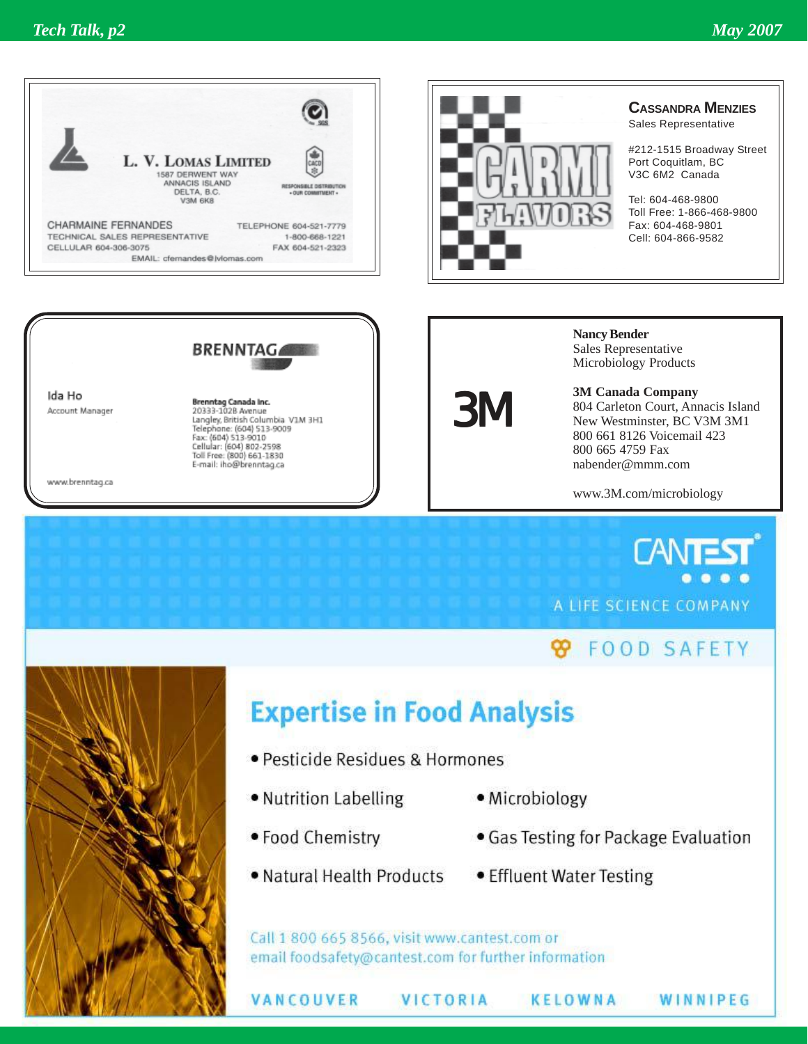



#### **CASSANDRA MENZIES**

Sales Representative

#212-1515 Broadway Street Port Coquitlam, BC V3C 6M2 Canada

Tel: 604-468-9800 Toll Free: 1-866-468-9800 Fax: 604-468-9801 Cell: 604-866-9582



Ida Ho Account Manager

Brenntag Canada Inc.<br>20333-1028 Avenue Langley, British Columbia VIM 3H1<br>Telephone: (604) 513-9009<br>Fax: (604) 513-9010 Cellular: (604) 802-2598<br>Toll Free: (800) 661-1830 E-mail: iho@brenntag.ca

www.brenntag.ca

3M

**Nancy Bender** Sales Representative Microbiology Products

**3M Canada Company** 804 Carleton Court, Annacis Island New Westminster, BC V3M 3M1 800 661 8126 Voicemail 423 800 665 4759 Fax nabender@mmm.com

www.3M.com/microbiology

**CANTE** A LIFE SCIENCE COMPANY

#### **8** FOOD SAFETY

WINNIPEG



### **Expertise in Food Analysis**

- · Pesticide Residues & Hormones
- . Nutrition Labelling
- · Microbiology
- · Food Chemistry

VANCOUVER

- . Natural Health Products
- · Gas Testing for Package Evaluation
- Effluent Water Testing

**KELOWNA** 

Call 1 800 665 8566, visit www.cantest.com or email foodsafety@cantest.com for further information

VICTORIA